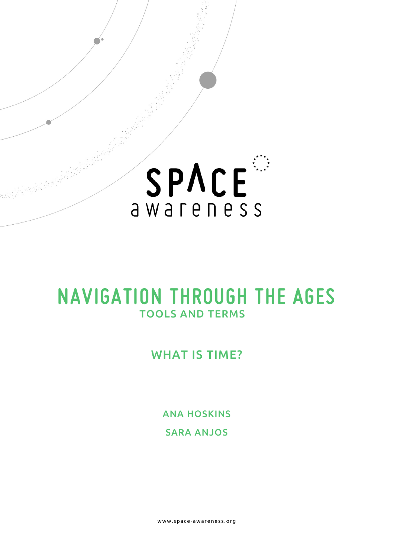

# **NAVIGATION THROUGH THE AGES**  TOOLS AND TERMS

## WHAT IS TIME?

ANA HOSKINS

SARA ANJOS

www.space- awareness.org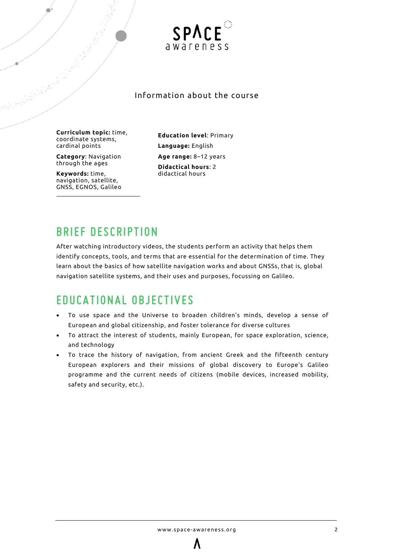

## Information about the course

**Curriculum topic:** time, coordinate systems, cardinal points

**Category**: Navigation through the ages

**Keywords:** time, navigation, satellite, GNSS, EGNOS, Galileo **Education level**: Primary **Language:** English **Age range:** 8–12 years **Didactical hours**: 2 didactical hours

## **BRIEF DESCRIPTION**

After watching introductory videos, the students perform an activity that helps them identify concepts, tools, and terms that are essential for the determination of time. They learn about the basics of how satellite navigation works and about GNSSs, that is, global navigation satellite systems, and their uses and purposes, focussing on Galileo.

## **EDUCATIONAL OBJECTIVES**

- To use space and the Universe to broaden children's minds, develop a sense of European and global citizenship, and foster tolerance for diverse cultures
- To attract the interest of students, mainly European, for space exploration, science, and technology
- To trace the history of navigation, from ancient Greek and the fifteenth century European explorers and their missions of global discovery to Europe's Galileo programme and the current needs of citizens (mobile devices, increased mobility, safety and security, etc.).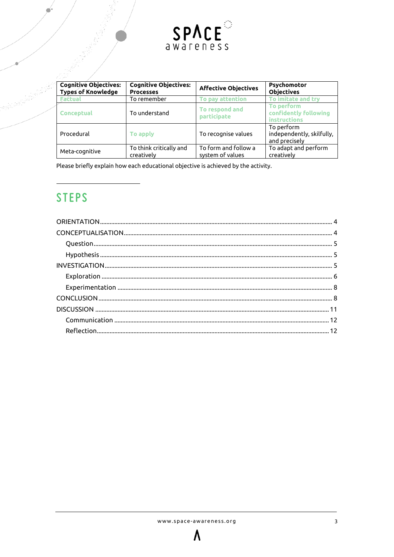

|  | $\mathcal{L} = \mathcal{L} \times \mathcal{L}$            |                                                  |                                          |                                                          |
|--|-----------------------------------------------------------|--------------------------------------------------|------------------------------------------|----------------------------------------------------------|
|  | <b>Cognitive Objectives:</b><br><b>Types of Knowledge</b> | <b>Cognitive Objectives:</b><br><b>Processes</b> | <b>Affective Objectives</b>              | Psychomotor<br><b>Objectives</b>                         |
|  | <b>Eactual</b>                                            | To remember                                      | To pay attention                         | To imitate and try                                       |
|  | Conceptual                                                | To understand                                    | To respond and<br><b>participate</b>     | To perform<br>confidently following<br>instructions      |
|  | Procedural                                                | To apply                                         | To recognise values                      | To perform<br>independently, skilfully,<br>and precisely |
|  | Meta-cognitive                                            | To think critically and<br>creatively            | To form and follow a<br>system of values | To adapt and perform<br>creatively                       |

Please briefly explain how each educational objective is achieved by the activity.

## **STEPS**

<span id="page-2-0"></span>

Λ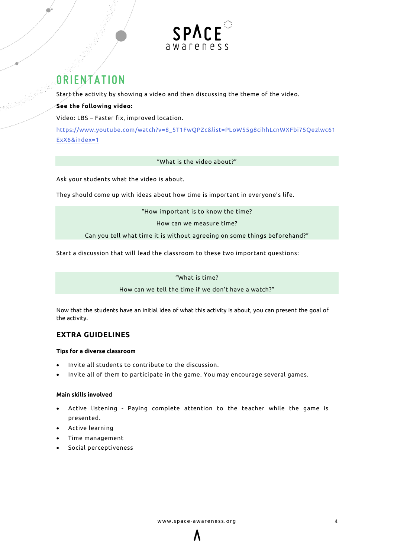

## **ORIENTATION**

Start the activity by showing a video and then discussing the theme of the video.

### **See the following video:**

Video: LBS – Faster fix, improved location.

[https://www.youtube.com/watch?v=8\\_5T1FwQPZc&list=PLoW55g8cihhLcnWXFbi75Qezlwc61](https://www.youtube.com/watch?v=8_5T1FwQPZc&list=PLoW55g8cihhLcnWXFbi75Qezlwc61ExX6&index=1) [ExX6&index=1](https://www.youtube.com/watch?v=8_5T1FwQPZc&list=PLoW55g8cihhLcnWXFbi75Qezlwc61ExX6&index=1)

#### "What is the video about?"

Ask your students what the video is about.

They should come up with ideas about how time is important in everyone's life.

"How important is to know the time?

How can we measure time?

Can you tell what time it is without agreeing on some things beforehand?"

Start a discussion that will lead the classroom to these two important questions:

"What is time?

How can we tell the time if we don't have a watch?"

Now that the students have an initial idea of what this activity is about, you can present the goal of the activity.

## **EXTRA GUIDELINES**

#### <span id="page-3-0"></span>**Tips for a diverse classroom**

- Invite all students to contribute to the discussion.
- Invite all of them to participate in the game. You may encourage several games.

#### **Main skills involved**

- Active listening Paying complete attention to the teacher while the game is presented.
- Active learning
- Time management
- Social perceptiveness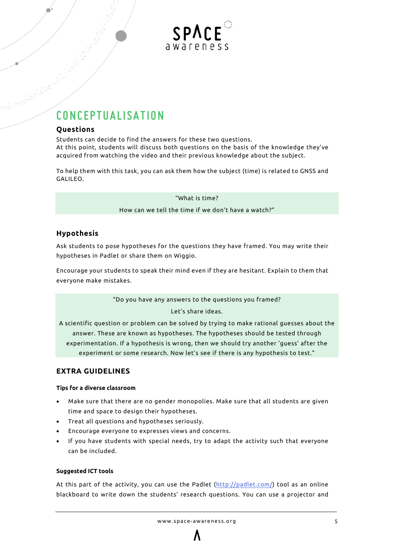

## **CONCEPTUALISATION**

### <span id="page-4-0"></span>**Questions**

Students can decide to find the answers for these two questions. At this point, students will discuss both questions on the basis of the knowledge they've acquired from watching the video and their previous knowledge about the subject.

To help them with this task, you can ask them how the subject (time) is related to GNSS and GALILEO.

"What is time?

How can we tell the time if we don't have a watch?"

## <span id="page-4-1"></span>**Hypothesis**

Ask students to pose hypotheses for the questions they have framed. You may write their hypotheses in Padlet or share them on Wiggio.

Encourage your students to speak their mind even if they are hesitant. Explain to them that everyone make mistakes.

"Do you have any answers to the questions you framed?

#### Let's share ideas.

A scientific question or problem can be solved by trying to make rational guesses about the answer. These are known as hypotheses. The hypotheses should be tested through experimentation. If a hypothesis is wrong, then we should try another 'guess' after the experiment or some research. Now let's see if there is any hypothesis to test."

### <span id="page-4-2"></span>**EXTRA GUIDELINES**

#### **Tips for a diverse classroom**

- Make sure that there are no gender monopolies. Make sure that all students are given time and space to design their hypotheses.
- Treat all questions and hypotheses seriously.
- Encourage everyone to expresses views and concerns.
- If you have students with special needs, try to adapt the activity such that everyone can be included.

#### **Suggested ICT tools**

At this part of the activity, you can use the Padlet [\(http://padlet.com/\)](http://padlet.com/) tool as an online blackboard to write down the students' research questions. You can use a projector and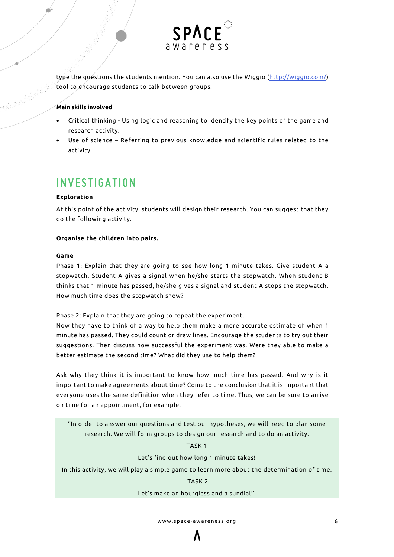

type the questions the students mention. You can also use the Wiggio [\(http://wiggio.com/\)](http://wiggio.com/) tool to encourage students to talk between groups.

#### **Main skills involved**

- Critical thinking Using logic and reasoning to identify the key points of the game and research activity.
- Use of science Referring to previous knowledge and scientific rules related to the activity.

## **INVESTIGATION**

#### <span id="page-5-0"></span>**Exploration**

At this point of the activity, students will design their research. You can suggest that they do the following activity.

#### **Organise the children into pairs.**

#### **Game**

Phase 1: Explain that they are going to see how long 1 minute takes. Give student A a stopwatch. Student A gives a signal when he/she starts the stopwatch. When student B thinks that 1 minute has passed, he/she gives a signal and student A stops the stopwatch. How much time does the stopwatch show?

Phase 2: Explain that they are going to repeat the experiment.

Now they have to think of a way to help them make a more accurate estimate of when 1 minute has passed. They could count or draw lines. Encourage the students to try out their suggestions. Then discuss how successful the experiment was. Were they able to make a better estimate the second time? What did they use to help them?

Ask why they think it is important to know how much time has passed. And why is it important to make agreements about time? Come to the conclusion that it is important that everyone uses the same definition when they refer to time. Thus, we can be sure to arrive on time for an appointment, for example.

"In order to answer our questions and test our hypotheses, we will need to plan some research. We will form groups to design our research and to do an activity.

TASK 1

Let's find out how long 1 minute takes!

In this activity, we will play a simple game to learn more about the determination of time.

#### TASK 2

#### Let's make an hourglass and a sundial!"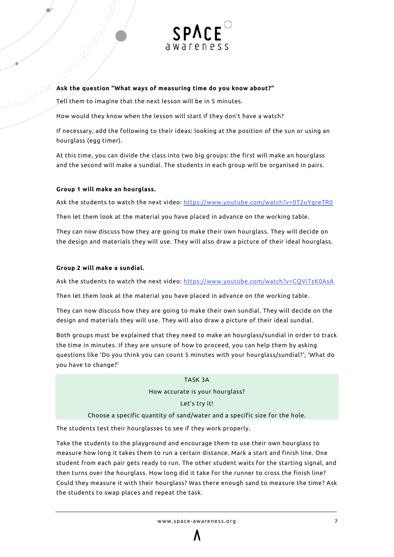

#### **Ask the question "What ways of measuring time do you know about?"**

Tell them to imagine that the next lesson will be in 5 minutes.

How would they know when the lesson will start if they don't have a watch?

If necessary, add the following to their ideas: looking at the position of the sun or using an hourglass (egg timer).

At this time, you can divide the class into two big groups: the first will make an hourglass and the second will make a sundial. The students in each group will be organised in pairs.

#### **Group 1 will make an hourglass.**

Ask the students to watch the next video: <https://www.youtube.com/watch?v=0T2uYgreTR0>

Then let them look at the material you have placed in advance on the working table.

They can now discuss how they are going to make their own hourglass. They will decide on the design and materials they will use. They will also draw a picture of their ideal hourglass.

#### **Group 2 will make a sundial.**

Ask the students to watch the next video: <https://www.youtube.com/watch?v=CQViTzK0AsA>

Then let them look at the material you have placed in advance on the working table.

They can now discuss how they are going to make their own sundial. They will decide on the design and materials they will use. They will also draw a picture of their ideal sundial.

Both groups must be explained that they need to make an hourglass/sundial in order to track the time in minutes. If they are unsure of how to proceed, you can help them by asking questions like 'Do you think you can count 5 minutes with your hourglass/sundial?'; 'What do you have to change?'

#### TASK 3A

How accurate is your hourglass?

Let's try it!

#### Choose a specific quantity of sand/water and a specific size for the hole.

The students test their hourglasses to see if they work properly.

Take the students to the playground and encourage them to use their own hourglass to measure how long it takes them to run a certain distance. Mark a start and finish line. One student from each pair gets ready to run. The other student waits for the starting signal, and then turns over the hourglass. How long did it take for the runner to cross the finish line? Could they measure it with their hourglass? Was there enough sand to measure the time? Ask the students to swap places and repeat the task.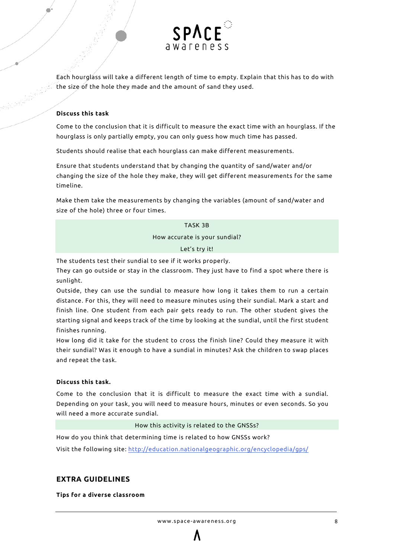

Each hourglass will take a different length of time to empty. Explain that this has to do with the size of the hole they made and the amount of sand they used.

#### **Discuss this task**

Come to the conclusion that it is difficult to measure the exact time with an hourglass. If the hourglass is only partially empty, you can only guess how much time has passed.

Students should realise that each hourglass can make different measurements.

Ensure that students understand that by changing the quantity of sand/water and/or changing the size of the hole they make, they will get different measurements for the same timeline.

Make them take the measurements by changing the variables (amount of sand/water and size of the hole) three or four times.

TASK 3B

How accurate is your sundial?

Let's try it!

<span id="page-7-0"></span>The students test their sundial to see if it works properly.

They can go outside or stay in the classroom. They just have to find a spot where there is sunlight.

Outside, they can use the sundial to measure how long it takes them to run a certain distance. For this, they will need to measure minutes using their sundial. Mark a start and finish line. One student from each pair gets ready to run. The other student gives the starting signal and keeps track of the time by looking at the sundial, until the first student finishes running.

How long did it take for the student to cross the finish line? Could they measure it with their sundial? Was it enough to have a sundial in minutes? Ask the children to swap places and repeat the task.

#### **Discuss this task.**

Come to the conclusion that it is difficult to measure the exact time with a sundial. Depending on your task, you will need to measure hours, minutes or even seconds. So you will need a more accurate sundial.

#### How this activity is related to the GNSSs?

How do you think that determining time is related to how GNSSs work? Visit the following site:<http://education.nationalgeographic.org/encyclopedia/gps/>

### **EXTRA GUIDELINES**

<span id="page-7-1"></span>**Tips for a diverse classroom**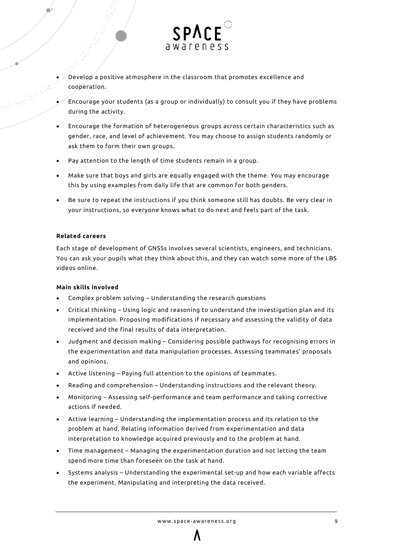

- Develop a positive atmosphere in the classroom that promotes excellence and cooperation.
- Encourage your students (as a group or individually) to consult you if they have problems during the activity.
- Encourage the formation of heterogeneous groups across certain characteristics such as gender, race, and level of achievement. You may choose to assign students randomly or ask them to form their own groups.
- Pay attention to the length of time students remain in a group.
- Make sure that boys and girls are equally engaged with the theme. You may encourage this by using examples from daily life that are common for both genders.
- Be sure to repeat the instructions if you think someone still has doubts. Be very clear in your instructions, so everyone knows what to do next and feels part of the task.

#### **Related careers**

Each stage of development of GNSSs involves several scientists, engineers, and technicians. You can ask your pupils what they think about this, and they can watch some more of the LBS videos online.

#### **Main skills involved**

- Complex problem solving Understanding the research questions
- Critical thinking Using logic and reasoning to understand the investigation plan and its implementation. Proposing modifications if necessary and assessing the validity of data received and the final results of data interpretation.
- Judgment and decision making Considering possible pathways for recognising errors in the experimentation and data manipulation processes. Assessing teammates' proposals and opinions.
- Active listening Paying full attention to the opinions of teammates.
- Reading and comprehension Understanding instructions and the relevant theory.
- Monitoring Assessing self-performance and team performance and taking corrective actions if needed.
- Active learning Understanding the implementation process and its relation to the problem at hand. Relating information derived from experimentation and data interpretation to knowledge acquired previously and to the problem at hand.
- Time management Managing the experimentation duration and not letting the team spend more time than foreseen on the task at hand.
- Systems analysis Understanding the experimental set-up and how each variable affects the experiment. Manipulating and interpreting the data received.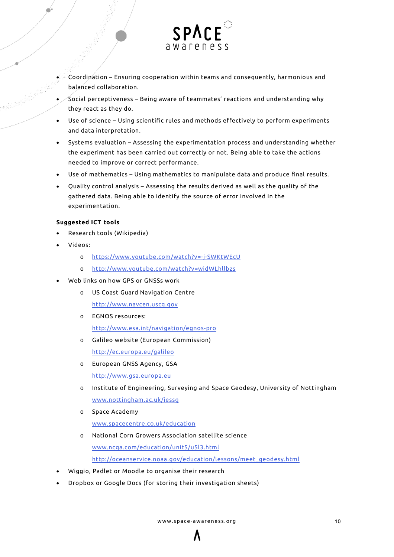

- Coordination Ensuring cooperation within teams and consequently, harmonious and balanced collaboration.
- Social perceptiveness Being aware of teammates' reactions and understanding why they react as they do.
- Use of science Using scientific rules and methods effectively to perform experiments and data interpretation.
- Systems evaluation Assessing the experimentation process and understanding whether the experiment has been carried out correctly or not. Being able to take the actions needed to improve or correct performance.
- Use of mathematics Using mathematics to manipulate data and produce final results.
- Quality control analysis Assessing the results derived as well as the quality of the gathered data. Being able to identify the source of error involved in the experimentation.

#### **Suggested ICT tools**

- Research tools (Wikipedia)
- Videos:
	- o <https://www.youtube.com/watch?v=-j-SWKtWEcU>
	- o <http://www.youtube.com/watch?v=widWLhllbzs>
- Web links on how GPS or GNSSs work
	- o US Coast Guard Navigation Centre [http://www.navcen.uscg.gov](http://www.navcen.uscg.gov/)
	- o EGNOS resources: <http://www.esa.int/navigation/egnos-pro>
	- o Galileo website (European Commission) <http://ec.europa.eu/galileo>
	- o European GNSS Agency, GSA [http://www.gsa.europa.eu](http://www.gsa.europa.eu/)
	- o Institute of Engineering, Surveying and Space Geodesy, University of Nottingham [www.nottingham.ac.uk/iessg](http://www.nottingham.ac.uk/iessg)
	- o Space Academy

[www.spacecentre.co.uk/education](http://www.spacecentre.co.uk/education)

- o National Corn Growers Association satellite science [www.ncga.com/education/unit5/u5l3.html](http://www.ncga.com/education/unit5/u5l3.html) [http://oceanservice.noaa.gov/education/lessons/meet\\_geodesy.html](http://oceanservice.noaa.gov/education/lessons/meet_geodesy.html)
- Wiggio, Padlet or Moodle to organise their research
- Dropbox or Google Docs (for storing their investigation sheets)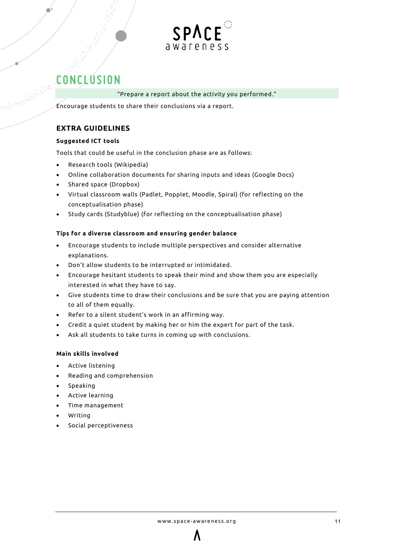

## **CONCLUSION**

#### "Prepare a report about the activity you performed."

Encourage students to share their conclusions via a report.

## **EXTRA GUIDELINES**

### <span id="page-10-0"></span>**Suggested ICT tools**

Tools that could be useful in the conclusion phase are as follows:

- Research tools (Wikipedia)
- Online collaboration documents for sharing inputs and ideas (Google Docs)
- Shared space (Dropbox)
- Virtual classroom walls (Padlet, Popplet, Moodle, Spiral) (for reflecting on the conceptualisation phase)
- Study cards (Studyblue) (for reflecting on the conceptualisation phase)

### **Tips for a diverse classroom and ensuring gender balance**

- Encourage students to include multiple perspectives and consider alternative explanations.
- Don't allow students to be interrupted or intimidated.
- Encourage hesitant students to speak their mind and show them you are especially interested in what they have to say.
- Give students time to draw their conclusions and be sure that you are paying attention to all of them equally.
- Refer to a silent student's work in an affirming way.
- Credit a quiet student by making her or him the expert for part of the task.
- Ask all students to take turns in coming up with conclusions.

#### **Main skills involved**

- Active listening
- Reading and comprehension
- Speaking
- Active learning
- Time management
- Writing
- Social perceptiveness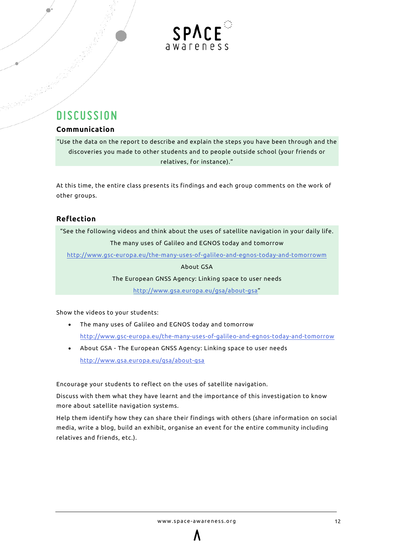

## **DISCUSSION**

## <span id="page-11-0"></span>**Communication**

"Use the data on the report to describe and explain the steps you have been through and the discoveries you made to other students and to people outside school (your friends or relatives, for instance)."

At this time, the entire class presents its findings and each group comments on the work of other groups.

## <span id="page-11-1"></span>**Reflection**

"See the following videos and think about the uses of satellite navigation in your daily life. The many uses of Galileo and EGNOS today and tomorrow

<http://www.gsc-europa.eu/the-many-uses-of-galileo-and-egnos-today-and-tomorrowm>

About GSA

The European GNSS Agency: Linking space to user needs

[http://www.gsa.europa.eu/gsa/about-gsa"](http://www.gsa.europa.eu/gsa/about-gsa)

Show the videos to your students:

- The many uses of Galileo and EGNOS today and tomorrow <http://www.gsc-europa.eu/the-many-uses-of-galileo-and-egnos-today-and-tomorrow>
- About GSA The European GNSS Agency: Linking space to user needs <http://www.gsa.europa.eu/gsa/about-gsa>

Encourage your students to reflect on the uses of satellite navigation.

Discuss with them what they have learnt and the importance of this investigation to know more about satellite navigation systems.

Help them identify how they can share their findings with others (share information on social media, write a blog, build an exhibit, organise an event for the entire community including relatives and friends, etc.).